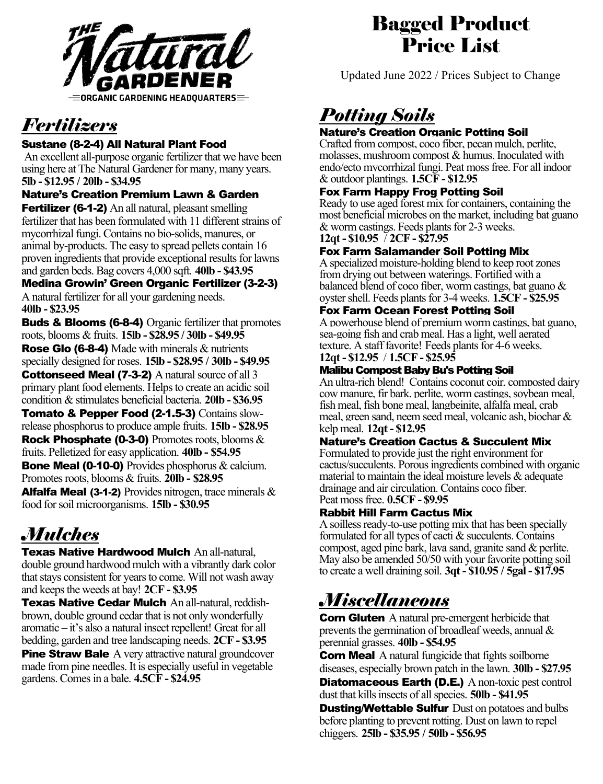

# *Fertilizers*

#### Sustane (8-2-4) All Natural Plant Food

An excellent all-purpose organic fertilizer that we have been using here at The Natural Gardener for many, many years. **5lb - \$12.95 / 20lb - \$34.95**

#### Nature's Creation Premium Lawn & Garden

**Fertilizer (6-1-2)** An all natural, pleasant smelling fertilizer that has been formulated with 11 different strains of mycorrhizal fungi. Contains no bio-solids, manures, or animal by-products. The easy to spread pellets contain 16 proven ingredients that provide exceptional results for lawns and garden beds. Bag covers 4,000 sqft. **40lb - \$43.95**

Medina Growin' Green Organic Fertilizer (3-2-3) A natural fertilizer for all your gardening needs. **40lb - \$23.95**

Buds & Blooms (6-8-4) Organic fertilizer that promotes roots, blooms & fruits. **15lb - \$28.95 / 30lb - \$49.95** Rose Glo (6-8-4) Made with minerals & nutrients specially designed for roses. **15lb - \$28.95 / 30lb - \$49.95 Cottonseed Meal (7-3-2)** A natural source of all 3 primary plant food elements. Helps to create an acidic soil condition & stimulates beneficial bacteria. **20lb - \$36.95**

Tomato & Pepper Food (2-1.5-3) Contains slowrelease phosphorus to produce ample fruits. **15lb - \$28.95 Rock Phosphate (0-3-0)** Promotes roots, blooms  $\&$ fruits. Pelletized for easy application. **40lb - \$54.95** Bone Meal (0-10-0) Provides phosphorus & calcium. Promotes roots, blooms & fruits. **20lb - \$28.95 Alfalfa Meal (3-1-2)** Provides nitrogen, trace minerals  $\&$ food for soil microorganisms. **15lb - \$30.95**

# *Mulches*

Texas Native Hardwood Mulch An all-natural, double ground hardwood mulch with a vibrantly dark color that stays consistent for years to come. Will not wash away and keeps the weeds at bay! **2CF - \$3.95**

Texas Native Cedar Mulch An all-natural, reddishbrown, double ground cedar that is not only wonderfully aromatic – it's also a natural insect repellent! Great for all bedding, garden and tree landscaping needs. **2CF - \$3.95**

**Pine Straw Bale** A very attractive natural groundcover made from pine needles. It is especially useful in vegetable gardens. Comes in a bale. **4.5CF - \$24.95**

### Bagged Product Price List

Updated June 2022 / Prices Subject to Change

# *Potting Soils*

#### Nature's Creation Organic Potting Soil

Crafted from compost, coco fiber, pecan mulch, perlite, molasses, mushroom compost & humus. Inoculated with endo/ecto mycorrhizal fungi. Peat moss free. For all indoor & outdoor plantings. **1.5CF - \$12.95** 

#### Fox Farm Happy Frog Potting Soil

Ready to use aged forest mix for containers, containing the most beneficial microbes on the market, including bat guano & worm castings. Feeds plants for 2-3 weeks.

**12qt - \$10.95** / **2CF - \$27.95**

#### Fox Farm Salamander Soil Potting Mix

A specialized moisture-holding blend to keep root zones from drying out between waterings. Fortified with a balanced blend of coco fiber, worm castings, bat guano & oyster shell. Feeds plants for 3-4 weeks. **1.5CF - \$25.95** 

#### Fox Farm Ocean Forest Potting Soil

A powerhouse blend of premium worm castings, bat guano, sea-going fish and crab meal. Has a light, well aerated texture. A staff favorite! Feeds plants for 4-6 weeks. **12qt - \$12.95** / **1.5CF - \$25.95** 

#### Malibu Compost Baby Bu's Potting Soil

An ultra-rich blend! Contains coconut coir, composted dairy cow manure, fir bark, perlite, worm castings, soybean meal, fish meal, fish bone meal, langbeinite, alfalfa meal, crab meal, green sand, neem seed meal, volcanic ash, biochar & kelp meal. **12qt - \$12.95**

#### Nature's Creation Cactus & Succulent Mix

Formulated to provide just the right environment for cactus/succulents. Porous ingredients combined with organic material to maintain the ideal moisture levels & adequate drainage and air circulation. Contains coco fiber. Peat moss free. **[0.5CF - \\$9.95](https://tngaustin.com/product/thunderhead-cactus/)**

#### Rabbit Hill Farm Cactus Mix

A soilless ready-to-use potting mix that has been specially formulated for all types of cacti & succulents. Contains compost, aged pine bark, lava sand, granite sand & perlite. May also be amended 50/50 with your favorite potting soil to create a well draining soil. **3qt - \$10.95 / 5gal - \$17.95** 

### *Miscellaneous*

**Corn Gluten** A natural pre-emergent herbicide that prevents the germination of broadleaf weeds, annual & perennial grasses. **40lb - \$54.95**

**Corn Meal** A natural fungicide that fights soilborne diseases, especially brown patch in the lawn. **30lb - \$27.95 Diatomaceous Earth (D.E.)** A non-toxic pest control dust that kills insects of all species. **50lb - \$41.95**

**Dusting/Wettable Sulfur** Dust on potatoes and bulbs before planting to prevent rotting. Dust on lawn to repel chiggers. **25lb - \$35.95 / 50lb - \$56.95**